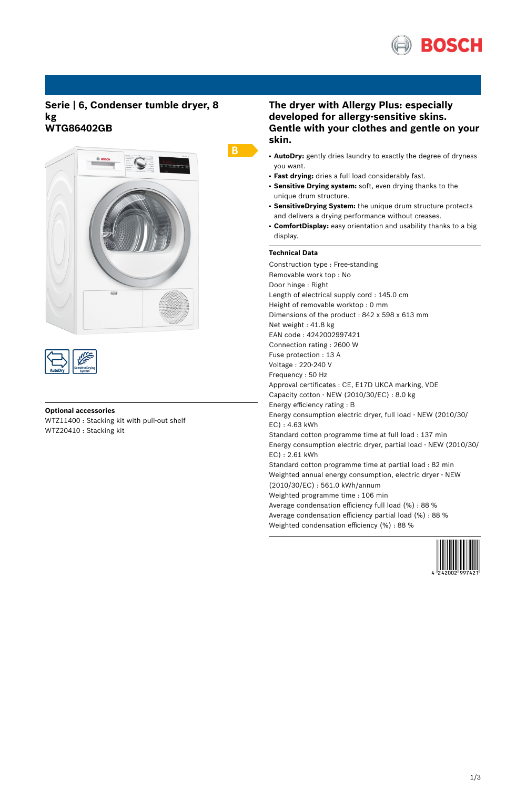

## **Serie | 6, Condenser tumble dryer, 8 kg WTG86402GB**





### **Optional accessories**

WTZ11400 : Stacking kit with pull-out shelf WTZ20410 : Stacking kit

# **The dryer with Allergy Plus: especially developed for allergy-sensitive skins. Gentle with your clothes and gentle on your skin.**

- **AutoDry:** gently dries laundry to exactly the degree of dryness you want.
- **Fast drying:** dries a full load considerably fast.
- **Sensitive Drying system:** soft, even drying thanks to the unique drum structure.
- **SensitiveDrying System:** the unique drum structure protects and delivers a drying performance without creases.
- ComfortDisplay: easy orientation and usability thanks to a big display.

### **Technical Data**

 $B$ 

Construction type : Free-standing Removable work top : No Door hinge : Right Length of electrical supply cord : 145.0 cm Height of removable worktop : 0 mm Dimensions of the product : 842 x 598 x 613 mm Net weight : 41.8 kg EAN code : 4242002997421 Connection rating : 2600 W Fuse protection : 13 A Voltage : 220-240 V Frequency : 50 Hz Approval certificates : CE, E17D UKCA marking, VDE Capacity cotton - NEW (2010/30/EC) : 8.0 kg Energy efficiency rating : B Energy consumption electric dryer, full load - NEW (2010/30/ EC) : 4.63 kWh Standard cotton programme time at full load : 137 min Energy consumption electric dryer, partial load - NEW (2010/30/ EC) : 2.61 kWh Standard cotton programme time at partial load : 82 min Weighted annual energy consumption, electric dryer - NEW (2010/30/EC) : 561.0 kWh/annum Weighted programme time : 106 min Average condensation efficiency full load (%) : 88 % Average condensation efficiency partial load (%) : 88 % Weighted condensation efficiency (%) : 88 %

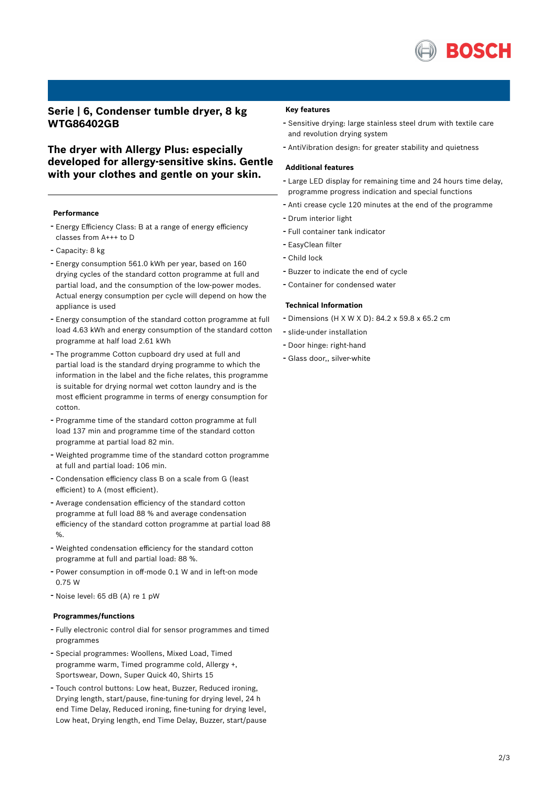

# **Serie | 6, Condenser tumble dryer, 8 kg WTG86402GB**

**The dryer with Allergy Plus: especially developed for allergy-sensitive skins. Gentle with your clothes and gentle on your skin.**

#### **Performance**

- Energy Efficiency Class: <sup>B</sup> at <sup>a</sup> range of energy efficiency classes from A+++ to D
- Capacity: <sup>8</sup> kg
- Energy consumption 561.0 kWh per year, based on <sup>160</sup> drying cycles of the standard cotton programme at full and partial load, and the consumption of the low-power modes. Actual energy consumption per cycle will depend on how the appliance is used
- Energy consumption of the standard cotton programme at full load 4.63 kWh and energy consumption of the standard cotton programme at half load 2.61 kWh
- The programme Cotton cupboard dry used at full and partial load is the standard drying programme to which the information in the label and the fiche relates, this programme is suitable for drying normal wet cotton laundry and is the most efficient programme in terms of energy consumption for cotton.
- Programme time of the standard cotton programme at full load 137 min and programme time of the standard cotton programme at partial load 82 min.
- Weighted programme time of the standard cotton programme at full and partial load: 106 min.
- Condensation efficiency class <sup>B</sup> on <sup>a</sup> scale from <sup>G</sup> (least efficient) to A (most efficient).
- Average condensation efficiency of the standard cotton programme at full load 88 % and average condensation efficiency of the standard cotton programme at partial load 88 %.
- Weighted condensation efficiency for the standard cotton programme at full and partial load: 88 %.
- Power consumption in off-mode 0.1 <sup>W</sup> and in left-on mode 0.75 W
- Noise level: <sup>65</sup> dB (A) re <sup>1</sup> pW

#### **Programmes/functions**

- Fully electronic control dial for sensor programmes and timed programmes
- Special programmes: Woollens, Mixed Load, Timed programme warm, Timed programme cold, Allergy +, Sportswear, Down, Super Quick 40, Shirts 15
- Touch control buttons: Low heat, Buzzer, Reduced ironing, Drying length, start/pause, fine-tuning for drying level, 24 h end Time Delay, Reduced ironing, fine-tuning for drying level, Low heat, Drying length, end Time Delay, Buzzer, start/pause

#### **Key features**

- Sensitive drying: large stainless steel drum with textile care and revolution drying system
- AntiVibration design: for greater stability and quietness

#### **Additional features**

- Large LED display for remaining time and <sup>24</sup> hours time delay, programme progress indication and special functions
- Anti crease cycle <sup>120</sup> minutes at the end of the programme
- Drum interior light
- Full container tank indicator
- EasyClean filter
- Child lock
- Buzzer to indicate the end of cycle
- Container for condensed water

### **Technical Information**

- Dimensions (H X W X D): 84.2 x 59.8 x 65.2 cm
- slide-under installation
- Door hinge: right-hand
- Glass door,, silver-white